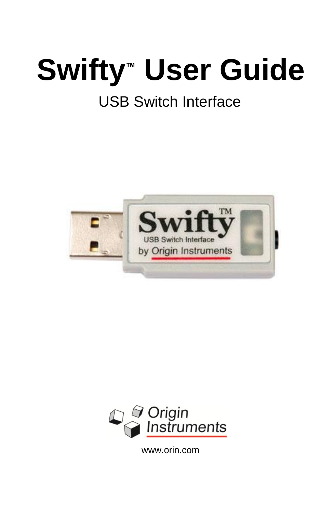## **Swifty™ User Guide** USB Switch Interface

# TM **USB Switch Interface** by Origin Instruments



www.orin.com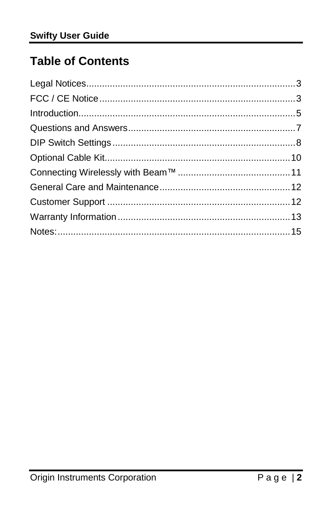## **Table of Contents**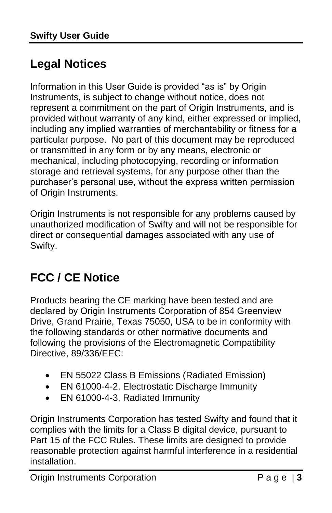## <span id="page-2-0"></span>**Legal Notices**

Information in this User Guide is provided "as is" by Origin Instruments, is subject to change without notice, does not represent a commitment on the part of Origin Instruments, and is provided without warranty of any kind, either expressed or implied, including any implied warranties of merchantability or fitness for a particular purpose. No part of this document may be reproduced or transmitted in any form or by any means, electronic or mechanical, including photocopying, recording or information storage and retrieval systems, for any purpose other than the purchaser's personal use, without the express written permission of Origin Instruments.

Origin Instruments is not responsible for any problems caused by unauthorized modification of Swifty and will not be responsible for direct or consequential damages associated with any use of Swifty.

## <span id="page-2-1"></span>**FCC / CE Notice**

Products bearing the CE marking have been tested and are declared by Origin Instruments Corporation of 854 Greenview Drive, Grand Prairie, Texas 75050, USA to be in conformity with the following standards or other normative documents and following the provisions of the Electromagnetic Compatibility Directive, 89/336/EEC:

- EN 55022 Class B Emissions (Radiated Emission)
- EN 61000-4-2, Electrostatic Discharge Immunity
- EN 61000-4-3, Radiated Immunity

Origin Instruments Corporation has tested Swifty and found that it complies with the limits for a Class B digital device, pursuant to Part 15 of the FCC Rules. These limits are designed to provide reasonable protection against harmful interference in a residential installation.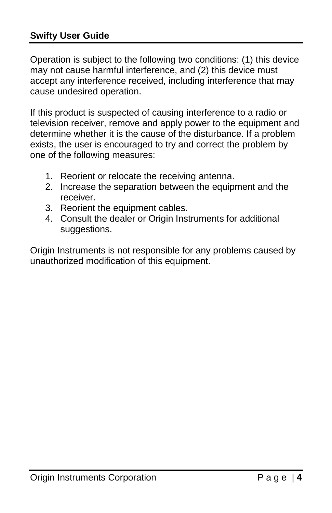#### **Swifty User Guide**

Operation is subject to the following two conditions: (1) this device may not cause harmful interference, and (2) this device must accept any interference received, including interference that may cause undesired operation.

If this product is suspected of causing interference to a radio or television receiver, remove and apply power to the equipment and determine whether it is the cause of the disturbance. If a problem exists, the user is encouraged to try and correct the problem by one of the following measures:

- 1. Reorient or relocate the receiving antenna.
- 2. Increase the separation between the equipment and the receiver.
- 3. Reorient the equipment cables.
- 4. Consult the dealer or Origin Instruments for additional suggestions.

Origin Instruments is not responsible for any problems caused by unauthorized modification of this equipment.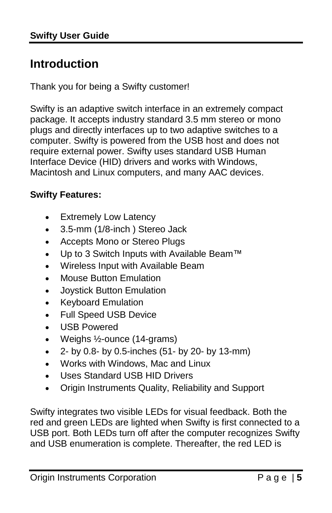## <span id="page-4-0"></span>**Introduction**

Thank you for being a Swifty customer!

Swifty is an adaptive switch interface in an extremely compact package. It accepts industry standard 3.5 mm stereo or mono plugs and directly interfaces up to two adaptive switches to a computer. Swifty is powered from the USB host and does not require external power. Swifty uses standard USB Human Interface Device (HID) drivers and works with Windows, Macintosh and Linux computers, and many AAC devices.

#### **Swifty Features:**

- Extremely Low Latency
- 3.5-mm (1/8-inch) Stereo Jack
- Accepts Mono or Stereo Plugs
- Up to 3 Switch Inputs with Available [Beam™](http://orin.com/access/wst/index.htm)
- Wireless Input with Available Beam
- Mouse Button Emulation
- Joystick Button Emulation
- Keyboard Emulation
- Full Speed USB Device
- USB Powered
- Weighs ½-ounce (14-grams)
- $\bullet$  2- by 0.8- by 0.5-inches (51- by 20- by 13-mm)
- Works with Windows, Mac and Linux
- Uses Standard USB HID Drivers
- Origin Instruments Quality, Reliability and Support

Swifty integrates two visible LEDs for visual feedback. Both the red and green LEDs are lighted when Swifty is first connected to a USB port. Both LEDs turn off after the computer recognizes Swifty and USB enumeration is complete. Thereafter, the red LED is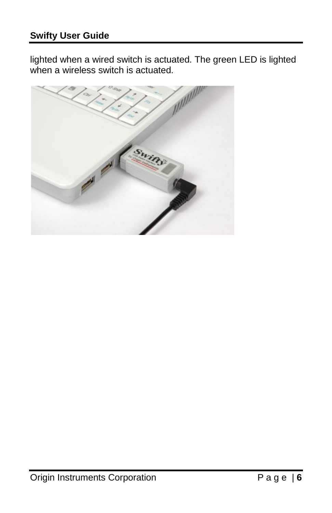lighted when a wired switch is actuated. The green LED is lighted when a wireless switch is actuated.

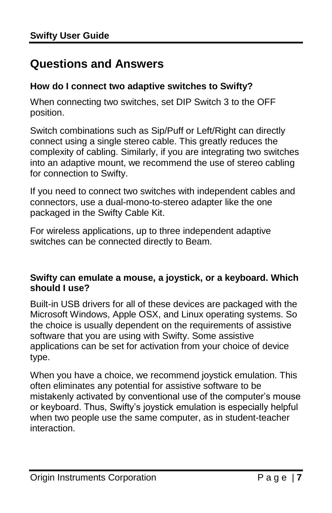#### <span id="page-6-0"></span>**Questions and Answers**

#### **How do I connect two adaptive switches to Swifty?**

When connecting two switches, set DIP Switch 3 to the OFF position.

Switch combinations such as Sip/Puff or Left/Right can directly connect using a single stereo cable. This greatly reduces the complexity of cabling. Similarly, if you are integrating two switches into an adaptive mount, we recommend the use of stereo cabling for connection to Swifty.

If you need to connect two switches with independent cables and connectors, use a dual-mono-to-stereo adapter like the one packaged in the Swifty Cable Kit.

For wireless applications, up to three independent adaptive switches can be connected directly to Beam.

#### **Swifty can emulate a mouse, a joystick, or a keyboard. Which should I use?**

Built-in USB drivers for all of these devices are packaged with the Microsoft Windows, Apple OSX, and Linux operating systems. So the choice is usually dependent on the requirements of assistive software that you are using with Swifty. Some assistive applications can be set for activation from your choice of device type.

When you have a choice, we recommend joystick emulation. This often eliminates any potential for assistive software to be mistakenly activated by conventional use of the computer's mouse or keyboard. Thus, Swifty's joystick emulation is especially helpful when two people use the same computer, as in student-teacher interaction.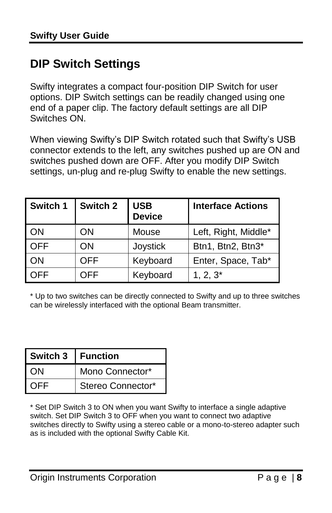### <span id="page-7-0"></span>**DIP Switch Settings**

Swifty integrates a compact four-position DIP Switch for user options. DIP Switch settings can be readily changed using one end of a paper clip. The factory default settings are all DIP Switches ON.

When viewing Swifty's DIP Switch rotated such that Swifty's USB connector extends to the left, any switches pushed up are ON and switches pushed down are OFF. After you modify DIP Switch settings, un-plug and re-plug Swifty to enable the new settings.

| Switch 1   | Switch 2   | <b>USB</b><br><b>Device</b> | <b>Interface Actions</b> |
|------------|------------|-----------------------------|--------------------------|
| ΟN         | ΟN         | Mouse                       | Left, Right, Middle*     |
| <b>OFF</b> | ΟN         | Joystick                    | Btn1, Btn2, Btn3*        |
| ΟN         | <b>OFF</b> | Keyboard                    | Enter, Space, Tab*       |
| OFF        | OFF        | Keyboard                    | $1, 2, 3^*$              |

\* Up to two switches can be directly connected to Swifty and up to three switches can be wirelessly interfaced with the optional Beam transmitter.

| Switch 3 | l Function        |  |
|----------|-------------------|--|
| I ON     | Mono Connector*   |  |
| I OFF.   | Stereo Connector* |  |

\* Set DIP Switch 3 to ON when you want Swifty to interface a single adaptive switch. Set DIP Switch 3 to OFF when you want to connect two adaptive switches directly to Swifty using a stereo cable or a mono-to-stereo adapter such as is included with the optional Swifty Cable Kit.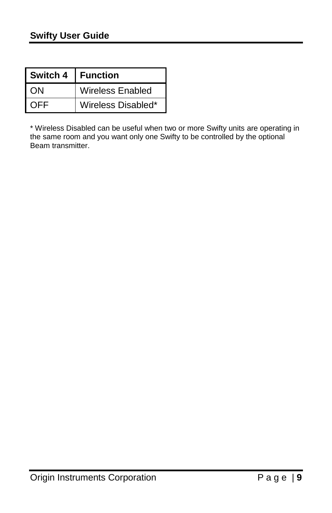| Switch 4 | <b>Function</b>    |
|----------|--------------------|
| ON       | Wireless Enabled   |
| OEE      | Wireless Disabled* |

\* Wireless Disabled can be useful when two or more Swifty units are operating in the same room and you want only one Swifty to be controlled by the optional Beam transmitter.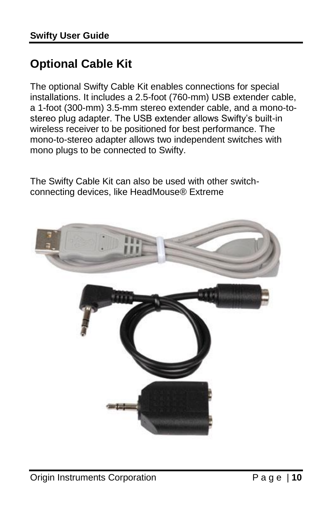## <span id="page-9-0"></span>**Optional Cable Kit**

The optional Swifty Cable Kit enables connections for special installations. It includes a 2.5-foot (760-mm) USB extender cable, a 1-foot (300-mm) 3.5-mm stereo extender cable, and a mono-tostereo plug adapter. The USB extender allows Swifty's built-in wireless receiver to be positioned for best performance. The mono-to-stereo adapter allows two independent switches with mono plugs to be connected to Swifty.

The Swifty Cable Kit can also be used with other switchconnecting devices, like HeadMouse® Extreme

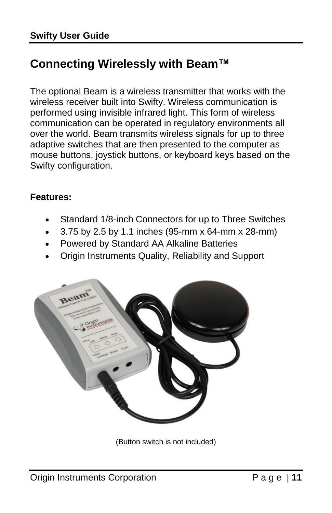### <span id="page-10-0"></span>**Connecting Wirelessly with Beam™**

The optional Beam is a wireless transmitter that works with the wireless receiver built into Swifty. Wireless communication is performed using invisible infrared light. This form of wireless communication can be operated in regulatory environments all over the world. Beam transmits wireless signals for up to three adaptive switches that are then presented to the computer as mouse buttons, joystick buttons, or keyboard keys based on the Swifty configuration.

#### **Features:**

- Standard 1/8-inch Connectors for up to Three Switches
- 3.75 by 2.5 by 1.1 inches (95-mm x 64-mm x 28-mm)
- Powered by Standard AA Alkaline Batteries
- Origin Instruments Quality, Reliability and Support



(Button switch is not included)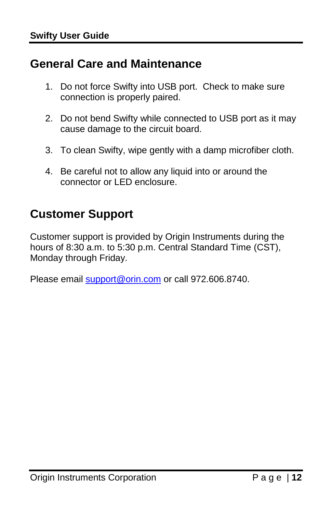#### <span id="page-11-0"></span>**General Care and Maintenance**

- 1. Do not force Swifty into USB port. Check to make sure connection is properly paired.
- 2. Do not bend Swifty while connected to USB port as it may cause damage to the circuit board.
- 3. To clean Swifty, wipe gently with a damp microfiber cloth.
- 4. Be careful not to allow any liquid into or around the connector or LED enclosure.

### <span id="page-11-1"></span>**Customer Support**

Customer support is provided by Origin Instruments during the hours of 8:30 a.m. to 5:30 p.m. Central Standard Time (CST). Monday through Friday.

Please email [support@orin.com](mailto:support@orin.com) or call 972.606.8740.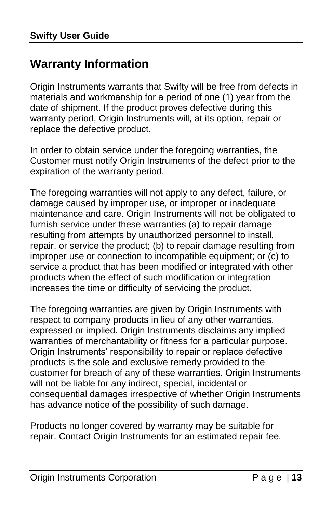#### <span id="page-12-0"></span>**Warranty Information**

Origin Instruments warrants that Swifty will be free from defects in materials and workmanship for a period of one (1) year from the date of shipment. If the product proves defective during this warranty period, Origin Instruments will, at its option, repair or replace the defective product.

In order to obtain service under the foregoing warranties, the Customer must notify Origin Instruments of the defect prior to the expiration of the warranty period.

The foregoing warranties will not apply to any defect, failure, or damage caused by improper use, or improper or inadequate maintenance and care. Origin Instruments will not be obligated to furnish service under these warranties (a) to repair damage resulting from attempts by unauthorized personnel to install, repair, or service the product; (b) to repair damage resulting from improper use or connection to incompatible equipment; or (c) to service a product that has been modified or integrated with other products when the effect of such modification or integration increases the time or difficulty of servicing the product.

The foregoing warranties are given by Origin Instruments with respect to company products in lieu of any other warranties, expressed or implied. Origin Instruments disclaims any implied warranties of merchantability or fitness for a particular purpose. Origin Instruments' responsibility to repair or replace defective products is the sole and exclusive remedy provided to the customer for breach of any of these warranties. Origin Instruments will not be liable for any indirect, special, incidental or consequential damages irrespective of whether Origin Instruments has advance notice of the possibility of such damage.

Products no longer covered by warranty may be suitable for repair. Contact Origin Instruments for an estimated repair fee.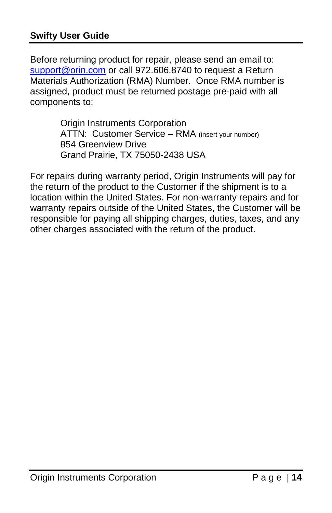#### **Swifty User Guide**

Before returning product for repair, please send an email to: [support@orin.com](mailto:support@orin.com) or call 972.606.8740 to request a Return Materials Authorization (RMA) Number. Once RMA number is assigned, product must be returned postage pre-paid with all components to:

> Origin Instruments Corporation ATTN: Customer Service – RMA (insert your number) 854 Greenview Drive Grand Prairie, TX 75050-2438 USA

For repairs during warranty period, Origin Instruments will pay for the return of the product to the Customer if the shipment is to a location within the United States. For non-warranty repairs and for warranty repairs outside of the United States, the Customer will be responsible for paying all shipping charges, duties, taxes, and any other charges associated with the return of the product.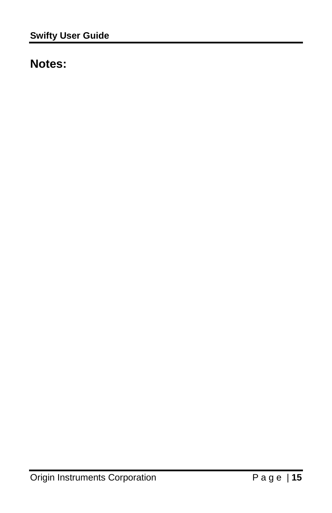### <span id="page-14-0"></span>**Notes:**